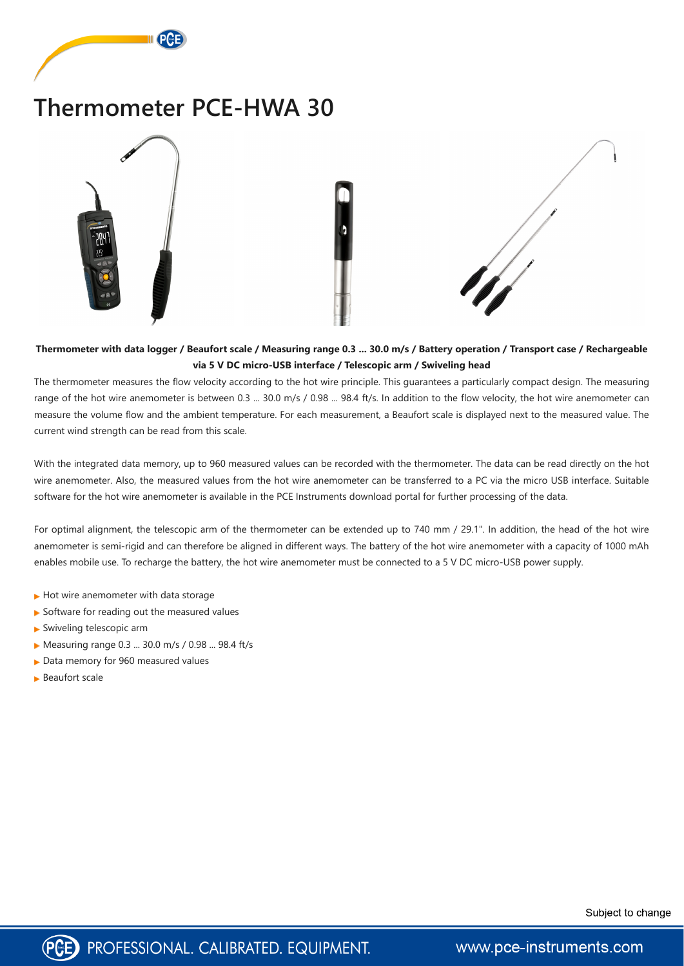

# **Thermometer PCE-HWA 30**



**Thermometer with data logger / Beaufort scale / Measuring range 0.3 ... 30.0 m/s / Battery operation / Transport case / Rechargeable via 5 V DC micro-USB interface / Telescopic arm / Swiveling head**

The thermometer measures the flow velocity according to the hot wire principle. This guarantees a particularly compact design. The measuring range of the hot wire anemometer is between 0.3 ... 30.0 m/s / 0.98 ... 98.4 ft/s. In addition to the flow velocity, the hot wire anemometer can measure the volume flow and the ambient temperature. For each measurement, a Beaufort scale is displayed next to the measured value. The current wind strength can be read from this scale.

With the integrated data memory, up to 960 measured values can be recorded with the thermometer. The data can be read directly on the hot wire anemometer. Also, the measured values from the hot wire anemometer can be transferred to a PC via the micro USB interface. Suitable software for the hot wire anemometer is available in the PCE Instruments download portal for further processing of the data.

For optimal alignment, the telescopic arm of the thermometer can be extended up to 740 mm / 29.1". In addition, the head of the hot wire anemometer is semi-rigid and can therefore be aligned in different ways. The battery of the hot wire anemometer with a capacity of 1000 mAh enables mobile use. To recharge the battery, the hot wire anemometer must be connected to a 5 V DC micro-USB power supply.

- $\blacktriangleright$  Hot wire anemometer with data storage
- $\blacktriangleright$  Software for reading out the measured values
- Swiveling telescopic arm
- ▶ Measuring range 0.3 ... 30.0 m/s / 0.98 ... 98.4 ft/s
- ▶ Data memory for 960 measured values
- ▶ Beaufort scale





www.pce-instruments.com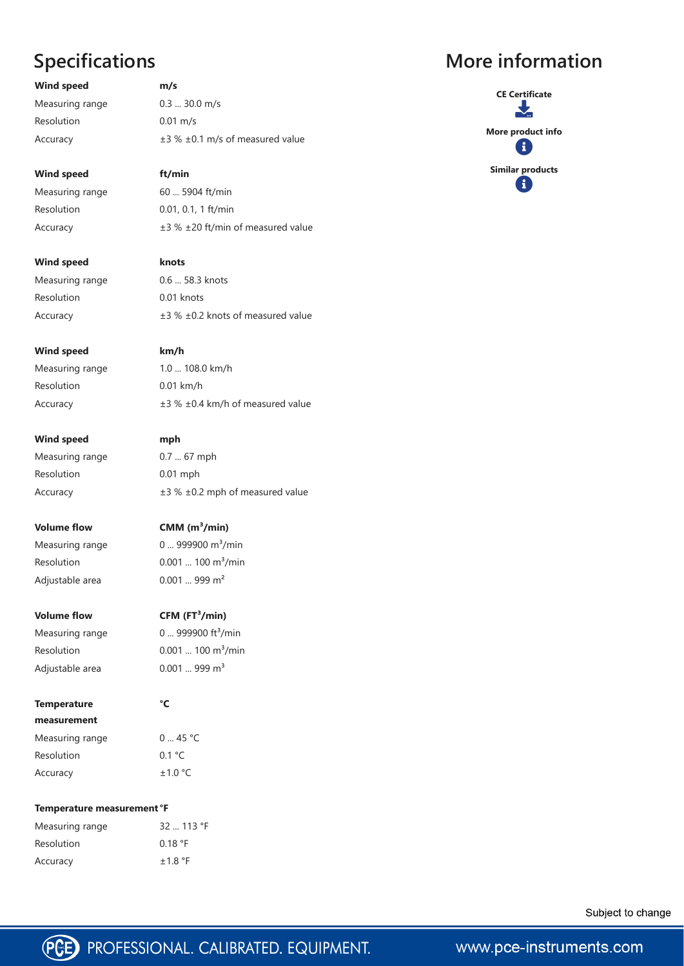# **Specifications**

**Wind speed m/s** Measuring range 0.3 ... 30.0 m/s Resolution 0.01 m/s Accuracy ±3 % ±0.1 m/s of measured value

Measuring range 0.6 ... 58.3 knots Resolution 0.01 knots Accuracy ±3 % ±0.2 knots of measured value

**Wind speed ft/min** Measuring range 60 ... 5904 ft/min Resolution 0.01, 0.1, 1 ft/min Accuracy ±3 % ±20 ft/min of measured value

**Wind speed mph** Measuring range 0.7 ... 67 mph Resolution 0.01 mph

Measuring range  $0 \dots 999900 \text{ m}^3/\text{min}$ 

**Wind speed knots**

**Wind speed km/h**

| <b>Wind speed</b> | km/h                                       |
|-------------------|--------------------------------------------|
| Measuring range   | 1.0  108.0 km/h                            |
| Resolution        | $0.01$ km/h                                |
| Accuracy          | $\pm$ 3 % $\pm$ 0.4 km/h of measured value |
|                   |                                            |

Accuracy ±3 % ±0.2 mph of measured value

**Volume flow CMM (m³/min)**

Resolution  $0.001$  ... 100 m<sup>3</sup>/min Adjustable area 0.001 ... 999 m<sup>2</sup>

Measuring range 0 ... 45 °C Resolution 0.1 °C Accuracy  $\pm 1.0$  °C

**Volume flow CFM (FT³/min)**

Measuring range  $0 \dots 999900$  ft<sup>3</sup>/min Resolution  $0.001$  ... 100 m<sup>3</sup>/min Adjustable area  $0.001$  ... 999  $m<sup>3</sup>$ 

**Temperature measurement**  **°C**

### **Temperature measurement°F**

Measuring range 32 ... 113 °F Resolution 0.18 °F Accuracy  $\pm 1.8$  °F

Subject to change



www.pce-instruments.com

## **More information**